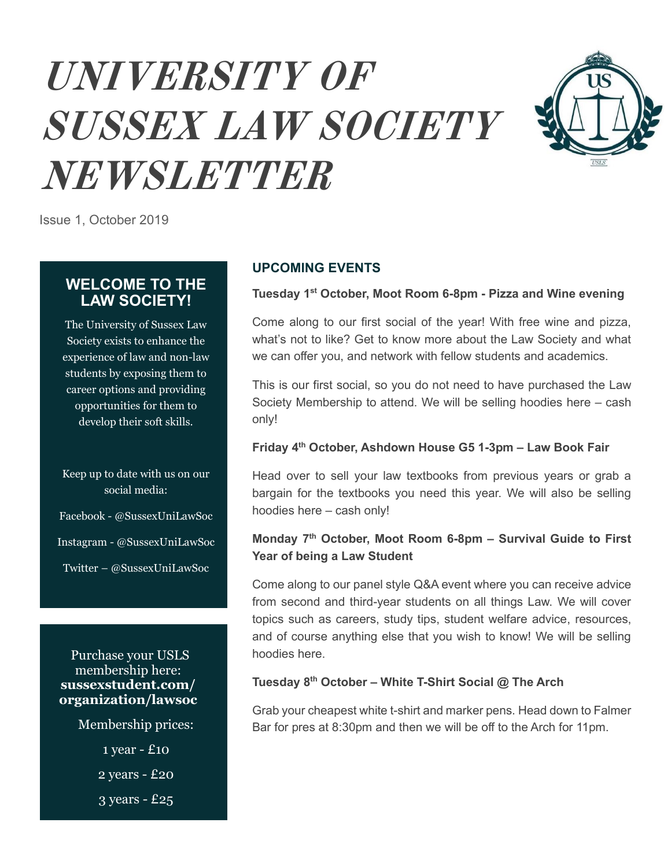# **UNIVERSITY OF SUSSEX LAW SOCIETY NEWSLETTER**



Issue 1, October 2019

# **WELCOME TO THE LAW SOCIETY!**

The University of Sussex Law Society exists to enhance the experience of law and non-law students by exposing them to career options and providing opportunities for them to develop their soft skills.

## Keep up to date with us on our social media:

Facebook - @SussexUniLawSoc

Instagram - @SussexUniLawSoc

Twitter – @SussexUniLawSoc

Purchase your USLS membership here: **sussexstudent.com/ organization/lawsoc**

Membership prices:

1 year - £10

2 years - £20

3 years - £25

# **UPCOMING EVENTS**

#### **Tuesday 1st October, Moot Room 6-8pm - Pizza and Wine evening**

Come along to our first social of the year! With free wine and pizza, what's not to like? Get to know more about the Law Society and what we can offer you, and network with fellow students and academics.

This is our first social, so you do not need to have purchased the Law Society Membership to attend. We will be selling hoodies here – cash only!

#### **Friday 4th October, Ashdown House G5 1-3pm – Law Book Fair**

Head over to sell your law textbooks from previous years or grab a bargain for the textbooks you need this year. We will also be selling hoodies here – cash only!

# **Monday 7th October, Moot Room 6-8pm – Survival Guide to First Year of being a Law Student**

Come along to our panel style Q&A event where you can receive advice from second and third-year students on all things Law. We will cover topics such as careers, study tips, student welfare advice, resources, and of course anything else that you wish to know! We will be selling hoodies here.

## **Tuesday 8th October – White T-Shirt Social @ The Arch**

Grab your cheapest white t-shirt and marker pens. Head down to Falmer Bar for pres at 8:30pm and then we will be off to the Arch for 11pm.